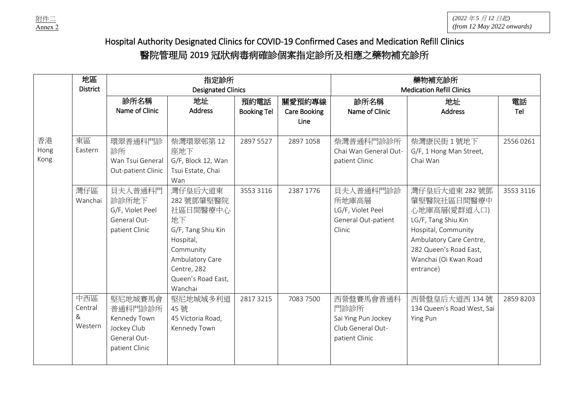

## Hospital Authority Designated Clinics for COVID-19 Confirmed Cases and Medication Refill Clinics 醫院管理局 2019 冠狀病毒病確診個案指定診所及相應之藥物補充診所

|                    | 地區                             |                                                                                     | 指定診所                                                                                                                                           |                        | 藥物補充診所                           |                                                                                 |                                                                                                                                                                      |                        |
|--------------------|--------------------------------|-------------------------------------------------------------------------------------|------------------------------------------------------------------------------------------------------------------------------------------------|------------------------|----------------------------------|---------------------------------------------------------------------------------|----------------------------------------------------------------------------------------------------------------------------------------------------------------------|------------------------|
|                    | <b>District</b>                |                                                                                     | <b>Designated Clinics</b>                                                                                                                      |                        | <b>Medication Refill Clinics</b> |                                                                                 |                                                                                                                                                                      |                        |
|                    |                                | 診所名稱                                                                                | 地址                                                                                                                                             | 預約電話                   | 關愛預約專線                           | 診所名稱                                                                            | 地址                                                                                                                                                                   | 電話                     |
|                    |                                | Name of Clinic                                                                      | <b>Address</b>                                                                                                                                 | <b>Booking Tel</b>     | <b>Care Booking</b>              | Name of Clinic                                                                  | <b>Address</b>                                                                                                                                                       | Tel                    |
|                    |                                |                                                                                     |                                                                                                                                                |                        | Line                             |                                                                                 |                                                                                                                                                                      |                        |
| 香港<br>Hong<br>Kong | 東區<br>Eastern<br>灣仔區           | 環翠普通科門診<br>診所<br>Wan Tsui General<br>Out-patient Clinic<br>貝夫人普通科門                  | 柴灣環翠邨第12<br>座地下<br>G/F, Block 12, Wan<br>Tsui Estate, Chai<br>Wan<br>灣仔皇后大道東                                                                   | 2897 5527<br>3553 3116 | 2897 1058<br>2387 1776           | 柴灣普通科門診診所<br>Chai Wan General Out-<br>patient Clinic<br>貝夫人普通科門診診               | 柴灣康民街1號地下<br>G/F, 1 Hong Man Street,<br>Chai Wan<br>灣仔皇后大道東 282號鄧                                                                                                    | 2556 0261<br>3553 3116 |
|                    | Wanchai                        | 診診所地下<br>G/F, Violet Peel<br>General Out-<br>patient Clinic                         | 282號鄧肇堅醫院<br>社區日間醫療中心<br>地下<br>G/F, Tang Shiu Kin<br>Hospital,<br>Community<br>Ambulatory Care<br>Centre, 282<br>Queen's Road East,<br>Wanchai |                        |                                  | 所地庫高層<br>LG/F, Violet Peel<br>General Out-patient<br>Clinic                     | 肇堅醫院社區日間醫療中<br>心地庫高層(愛群道入口)<br>LG/F, Tang Shiu Kin<br>Hospital, Community<br>Ambulatory Care Centre,<br>282 Queen's Road East,<br>Wanchai (Oi Kwan Road<br>entrance) |                        |
|                    | 中西區<br>Central<br>&<br>Western | 堅尼地城賽馬會<br>普通科門診診所<br>Kennedy Town<br>Jockey Club<br>General Out-<br>patient Clinic | 堅尼地城域多利道<br>45號<br>45 Victoria Road,<br>Kennedy Town                                                                                           | 2817 3215              | 7083 7500                        | 西營盤賽馬會普通科<br>門診診所<br>Sai Ying Pun Jockey<br>Club General Out-<br>patient Clinic | 西營盤皇后大道西 134號<br>134 Queen's Road West, Sai<br>Ying Pun                                                                                                              | 2859 8203              |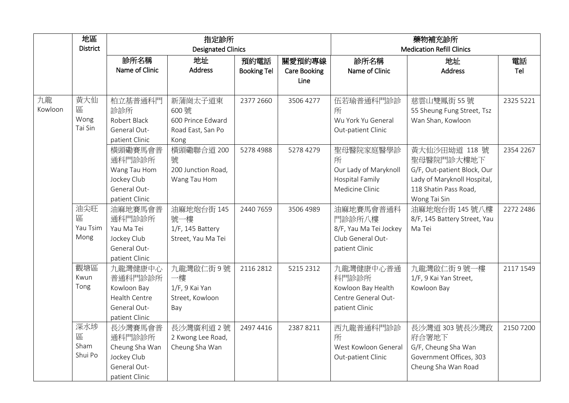|         | 地區              |                           | 指定診所               |                    | 藥物補充診所              |                                  |                              |           |
|---------|-----------------|---------------------------|--------------------|--------------------|---------------------|----------------------------------|------------------------------|-----------|
|         | <b>District</b> | <b>Designated Clinics</b> |                    |                    |                     | <b>Medication Refill Clinics</b> |                              |           |
|         |                 | 診所名稱                      | 地址                 | 預約電話               | 關愛預約專線              | 診所名稱                             | 地址                           | 電話        |
|         |                 | Name of Clinic            | <b>Address</b>     | <b>Booking Tel</b> | <b>Care Booking</b> | Name of Clinic                   | <b>Address</b>               | Tel       |
|         |                 |                           |                    |                    | Line                |                                  |                              |           |
|         |                 |                           |                    |                    |                     |                                  |                              |           |
| 九龍      | 黃大仙             | 柏立基普通科門                   | 新蒲崗太子道東            | 2377 2660          | 3506 4277           | 伍若瑜普通科門診診                        | 慈雲山雙鳳街 55號                   | 2325 5221 |
| Kowloon | 區               | 診診所                       | 600號               |                    |                     | 所                                | 55 Sheung Fung Street, Tsz   |           |
|         | Wong            | Robert Black              | 600 Prince Edward  |                    |                     | Wu York Yu General               | Wan Shan, Kowloon            |           |
|         | Tai Sin         | General Out-              | Road East, San Po  |                    |                     | Out-patient Clinic               |                              |           |
|         |                 | patient Clinic            | Kong               |                    |                     |                                  |                              |           |
|         |                 | 横頭磡賽馬會普                   | 横頭磡聯合道 200         | 5278 4988          | 5278 4279           | 聖母醫院家庭醫學診                        | 黃大仙沙田坳道 118 號                | 2354 2267 |
|         |                 | 通科門診診所                    | 號                  |                    |                     | 所                                | 聖母醫院門診大樓地下                   |           |
|         |                 | Wang Tau Hom              | 200 Junction Road, |                    |                     | Our Lady of Maryknoll            | G/F, Out-patient Block, Our  |           |
|         |                 | Jockey Club               | Wang Tau Hom       |                    |                     | <b>Hospital Family</b>           | Lady of Maryknoll Hospital,  |           |
|         |                 | General Out-              |                    |                    |                     | Medicine Clinic                  | 118 Shatin Pass Road,        |           |
|         |                 | patient Clinic            |                    |                    |                     |                                  | Wong Tai Sin                 |           |
|         | 油尖旺             | 油麻地賽馬會普                   | 油麻地炮台街 145         | 2440 7659          | 3506 4989           | 油麻地賽馬會普通科                        | 油麻地炮台街 145 號八樓               | 2272 2486 |
|         | 區               | 通科門診診所                    | 號一樓                |                    |                     | 門診診所八樓                           | 8/F, 145 Battery Street, Yau |           |
|         | Yau Tsim        | Yau Ma Tei                | 1/F, 145 Battery   |                    |                     | 8/F, Yau Ma Tei Jockey           | Ma Tei                       |           |
|         | Mong            | Jockey Club               | Street, Yau Ma Tei |                    |                     | Club General Out-                |                              |           |
|         |                 | General Out-              |                    |                    |                     | patient Clinic                   |                              |           |
|         |                 | patient Clinic            |                    |                    |                     |                                  |                              |           |
|         | 觀塘區             | 九龍灣健康中心                   | 九龍灣啟仁街9號           | 2116 2812          | 5215 2312           | 九龍灣健康中心普通                        | 九龍灣啟仁街9號一樓                   | 2117 1549 |
|         | Kwun            | 普通科門診診所                   | 一樓                 |                    |                     | 科門診診所                            | 1/F, 9 Kai Yan Street,       |           |
|         | Tong            | Kowloon Bay               | 1/F, 9 Kai Yan     |                    |                     | Kowloon Bay Health               | Kowloon Bay                  |           |
|         |                 | <b>Health Centre</b>      | Street, Kowloon    |                    |                     | Centre General Out-              |                              |           |
|         |                 | General Out-              | Bay                |                    |                     | patient Clinic                   |                              |           |
|         |                 | patient Clinic            |                    |                    |                     |                                  |                              |           |
|         | 深水埗             | 長沙灣賽馬會普                   | 長沙灣廣利道2號           | 2497 4416          | 23878211            | 西九龍普通科門診診                        | 長沙灣道 303 號長沙灣政               | 21507200  |
|         | 區               | 通科門診診所                    | 2 Kwong Lee Road,  |                    |                     | 所                                | 府合署地下                        |           |
|         | Sham            | Cheung Sha Wan            | Cheung Sha Wan     |                    |                     | West Kowloon General             | G/F, Cheung Sha Wan          |           |
|         | Shui Po         | Jockey Club               |                    |                    |                     | Out-patient Clinic               | Government Offices, 303      |           |
|         |                 | General Out-              |                    |                    |                     |                                  | Cheung Sha Wan Road          |           |
|         |                 | patient Clinic            |                    |                    |                     |                                  |                              |           |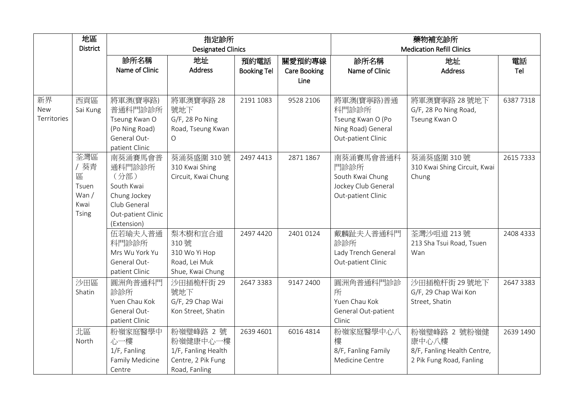|             | 地區              |                    | 指定診所                      |                    | 藥物補充診所                           |                     |                              |           |
|-------------|-----------------|--------------------|---------------------------|--------------------|----------------------------------|---------------------|------------------------------|-----------|
|             | <b>District</b> |                    | <b>Designated Clinics</b> |                    | <b>Medication Refill Clinics</b> |                     |                              |           |
|             |                 | 診所名稱               | 地址                        | 預約電話               | 關愛預約專線                           | 診所名稱                | 地址                           | 電話        |
|             |                 | Name of Clinic     | <b>Address</b>            | <b>Booking Tel</b> | <b>Care Booking</b>              | Name of Clinic      | <b>Address</b>               | Tel       |
|             |                 |                    |                           |                    | Line                             |                     |                              |           |
|             |                 |                    |                           |                    |                                  |                     |                              |           |
| 新界          | 西貢區             | 將軍澳(寶寧路)           | 將軍澳寶寧路 28                 | 2191 1083          | 9528 2106                        | 將軍澳(寶寧路)普通          | 將軍澳寶寧路 28號地下                 | 63877318  |
| <b>New</b>  | Sai Kung        | 普通科門診診所            | 號地下                       |                    |                                  | 科門診診所               | G/F, 28 Po Ning Road,        |           |
| Territories |                 | Tseung Kwan O      | G/F, 28 Po Ning           |                    |                                  | Tseung Kwan O (Po   | Tseung Kwan O                |           |
|             |                 | (Po Ning Road)     | Road, Tseung Kwan         |                    |                                  | Ning Road) General  |                              |           |
|             |                 | General Out-       | O                         |                    |                                  | Out-patient Clinic  |                              |           |
|             |                 | patient Clinic     |                           |                    |                                  |                     |                              |           |
|             | 荃灣區             | 南葵涌賽馬會普            | 葵涌葵盛圍 310號                | 2497 4413          | 2871 1867                        | 南葵涌賽馬會普通科           | 葵涌葵盛圍 310號                   | 2615 7333 |
|             | / 葵青            | 通科門診診所             | 310 Kwai Shing            |                    |                                  | 門診診所                | 310 Kwai Shing Circuit, Kwai |           |
|             | 區               | (分部)               | Circuit, Kwai Chung       |                    |                                  | South Kwai Chung    | Chung                        |           |
|             | Tsuen           | South Kwai         |                           |                    |                                  | Jockey Club General |                              |           |
|             | Wan/            | Chung Jockey       |                           |                    |                                  | Out-patient Clinic  |                              |           |
|             | Kwai            | Club General       |                           |                    |                                  |                     |                              |           |
|             | <b>Tsing</b>    | Out-patient Clinic |                           |                    |                                  |                     |                              |           |
|             |                 | (Extension)        |                           |                    |                                  |                     |                              |           |
|             |                 | 伍若瑜夫人普通            | 梨木樹和宜合道                   | 2497 4420          | 2401 0124                        | 戴麟趾夫人普通科門           | 荃灣沙咀道 213號                   | 2408 4333 |
|             |                 | 科門診診所              | 310號                      |                    |                                  | 診診所                 | 213 Sha Tsui Road, Tsuen     |           |
|             |                 | Mrs Wu York Yu     | 310 Wo Yi Hop             |                    |                                  | Lady Trench General | Wan                          |           |
|             |                 | General Out-       | Road, Lei Muk             |                    |                                  | Out-patient Clinic  |                              |           |
|             |                 | patient Clinic     | Shue, Kwai Chung          |                    |                                  |                     |                              |           |
|             | 沙田區             | 圓洲角普通科門            | 沙田插桅杆街 29                 | 26473383           | 9147 2400                        | 圓洲角普通科門診診           | 沙田插桅杆街 29 號地下                | 26473383  |
|             | Shatin          | 診診所                | 號地下                       |                    |                                  | 所                   | G/F, 29 Chap Wai Kon         |           |
|             |                 | Yuen Chau Kok      | G/F, 29 Chap Wai          |                    |                                  | Yuen Chau Kok       | Street, Shatin               |           |
|             |                 | General Out-       | Kon Street, Shatin        |                    |                                  | General Out-patient |                              |           |
|             |                 | patient Clinic     |                           |                    |                                  | Clinic              |                              |           |
|             | 北區              | 粉嶺家庭醫學中            | 粉嶺璧峰路 2號                  | 2639 4601          | 6016 4814                        | 粉嶺家庭醫學中心八           | 粉嶺璧峰路 2 號粉嶺健                 | 2639 1490 |
|             | North           | 心一樓                | 粉嶺健康中心一樓                  |                    |                                  | 樓                   | 康中心八樓                        |           |
|             |                 | 1/F, Fanling       | 1/F, Fanling Health       |                    |                                  | 8/F, Fanling Family | 8/F, Fanling Health Centre,  |           |
|             |                 | Family Medicine    | Centre, 2 Pik Fung        |                    |                                  | Medicine Centre     | 2 Pik Fung Road, Fanling     |           |
|             |                 | Centre             | Road, Fanling             |                    |                                  |                     |                              |           |